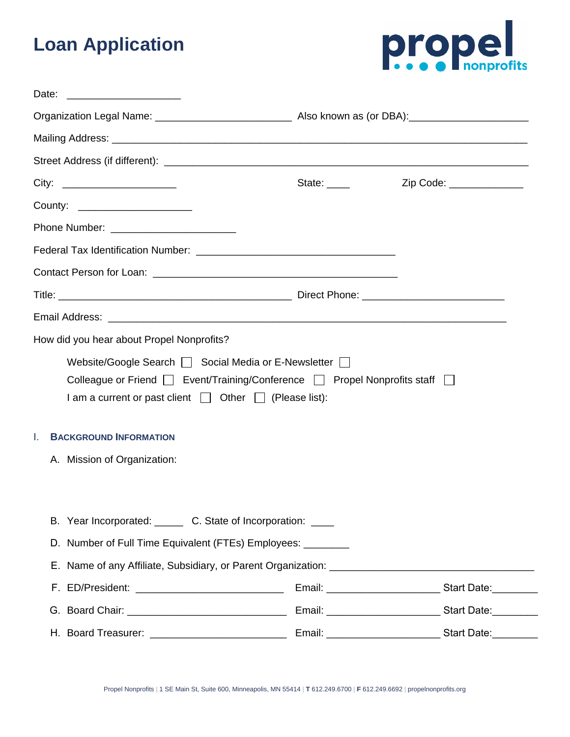# **Loan Application**



| Date:                                                         |                                                                                                                                                 |                          |  |
|---------------------------------------------------------------|-------------------------------------------------------------------------------------------------------------------------------------------------|--------------------------|--|
|                                                               |                                                                                                                                                 |                          |  |
|                                                               |                                                                                                                                                 |                          |  |
|                                                               |                                                                                                                                                 |                          |  |
| City: __________________________                              | State: $\frac{1}{2}$                                                                                                                            | Zip Code: ______________ |  |
| County: _______________________                               |                                                                                                                                                 |                          |  |
|                                                               |                                                                                                                                                 |                          |  |
|                                                               |                                                                                                                                                 |                          |  |
|                                                               |                                                                                                                                                 |                          |  |
|                                                               |                                                                                                                                                 |                          |  |
|                                                               |                                                                                                                                                 |                          |  |
| How did you hear about Propel Nonprofits?                     |                                                                                                                                                 |                          |  |
|                                                               | Colleague or Friend   Event/Training/Conference   Propel Nonprofits staff  <br>I am a current or past client $\Box$ Other $\Box$ (Please list): |                          |  |
| <b>BACKGROUND INFORMATION</b><br>I.                           |                                                                                                                                                 |                          |  |
| A. Mission of Organization:                                   |                                                                                                                                                 |                          |  |
|                                                               |                                                                                                                                                 |                          |  |
| B. Year Incorporated: _______ C. State of Incorporation: ____ |                                                                                                                                                 |                          |  |
|                                                               | D. Number of Full Time Equivalent (FTEs) Employees: ________                                                                                    |                          |  |
|                                                               |                                                                                                                                                 |                          |  |
|                                                               |                                                                                                                                                 |                          |  |
|                                                               |                                                                                                                                                 |                          |  |
| H. Board Treasurer: _____________________________             |                                                                                                                                                 |                          |  |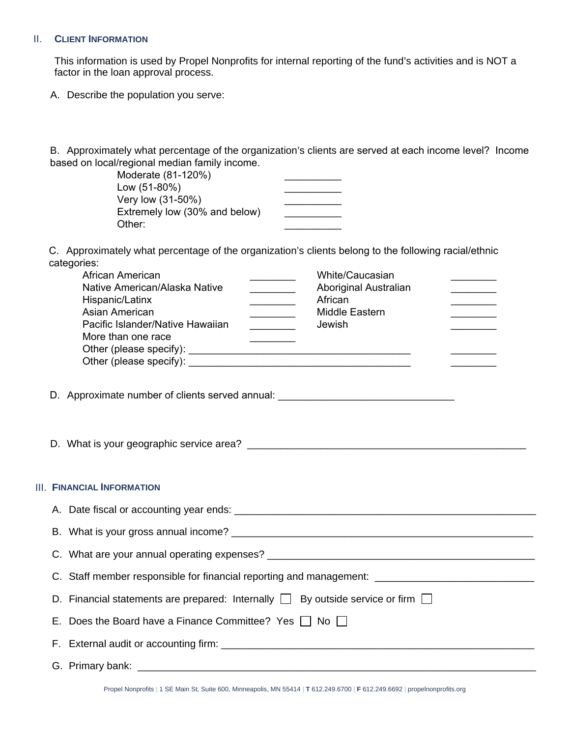#### II. **CLIENT INFORMATION**

This information is used by Propel Nonprofits for internal reporting of the fund's activities and is NOT a factor in the loan approval process.

A. Describe the population you serve:

B. Approximately what percentage of the organization's clients are served at each income level? Income based on local/regional median family income.

> Moderate (81-120%) \_\_\_\_\_\_\_\_\_\_ Low (51-80%) \_\_\_\_\_\_\_\_\_\_ Very low (31-50%) \_\_\_\_\_\_\_\_\_\_ Extremely low (30% and below) Other: \_\_\_\_\_\_\_\_\_\_

C. Approximately what percentage of the organization's clients belong to the following racial/ethnic categories:

| African American                 | White/Caucasian       |  |
|----------------------------------|-----------------------|--|
| Native American/Alaska Native    | Aboriginal Australian |  |
| Hispanic/Latinx                  | African               |  |
| Asian American                   | <b>Middle Eastern</b> |  |
| Pacific Islander/Native Hawaiian | Jewish                |  |
| More than one race               |                       |  |
| Other (please specify):          |                       |  |
| Other (please specify):          |                       |  |

D. Approximate number of clients served annual:

D. What is your geographic service area? \_\_\_\_\_\_\_\_\_\_\_\_\_\_\_\_\_\_\_\_\_\_\_\_\_\_\_\_\_\_\_\_\_\_\_\_\_\_\_\_\_\_\_\_\_\_\_\_\_

#### III. **FINANCIAL INFORMATION**

| C. Staff member responsible for financial reporting and management: _______________________________ |
|-----------------------------------------------------------------------------------------------------|
| D. Financial statements are prepared: Internally $\Box$ By outside service or firm $\Box$           |
| E. Does the Board have a Finance Committee? Yes $\vert \cdot \vert$ No $\vert \cdot \vert$          |
|                                                                                                     |
|                                                                                                     |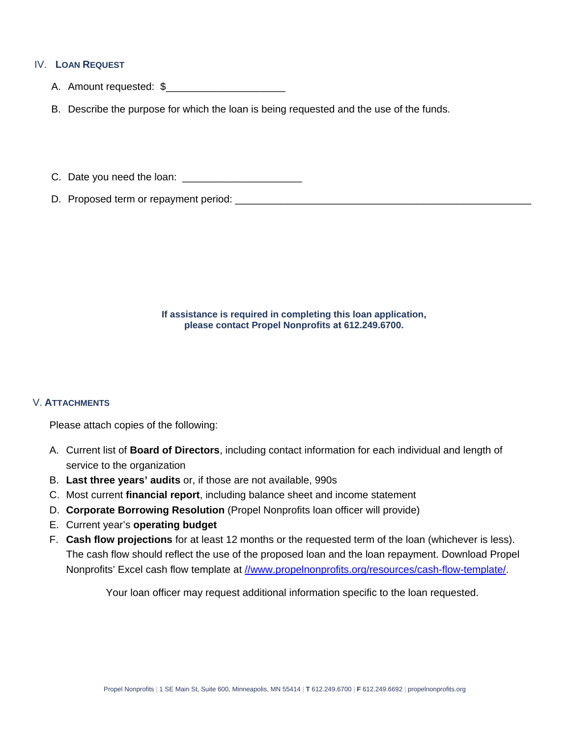# IV. **LOAN REQUEST**

- A. Amount requested: \$\_\_\_\_\_\_\_\_\_\_\_\_\_\_\_\_\_\_\_\_\_
- B. Describe the purpose for which the loan is being requested and the use of the funds.

C. Date you need the loan:  $\frac{1}{2}$  contains  $\frac{1}{2}$  contains  $\frac{1}{2}$  contains  $\frac{1}{2}$  contains  $\frac{1}{2}$  contains  $\frac{1}{2}$  contains  $\frac{1}{2}$  contains  $\frac{1}{2}$  contains  $\frac{1}{2}$  contains  $\frac{1}{2}$  contains  $\frac{$ 

D. Proposed term or repayment period: \_\_\_\_\_\_\_\_\_\_\_\_\_\_\_\_\_\_\_\_\_\_\_\_\_\_\_\_\_\_\_\_\_\_\_\_\_\_\_\_\_\_\_\_\_\_\_\_\_\_\_\_

**If assistance is required in completing this loan application, please contact Propel Nonprofits at 612.249.6700.** 

## V. **ATTACHMENTS**

Please attach copies of the following:

- A. Current list of **Board of Directors**, including contact information for each individual and length of service to the organization
- B. **Last three years' audits** or, if those are not available, 990s
- C. Most current **financial report**, including balance sheet and income statement
- D. **Corporate Borrowing Resolution** (Propel Nonprofits loan officer will provide)
- E. Current year's **operating budget**
- F. **Cash flow projections** for at least 12 months or the requested term of the loan (whichever is less). The cash flow should reflect the use of the proposed loan and the loan repayment. Download Propel Nonprofits' Excel cash flow template at [//www.propelnonprofits.org/resources/cash-flow-template/.](https://www.propelnonprofits.org/resources/cash-flow-template/)

Your loan officer may request additional information specific to the loan requested.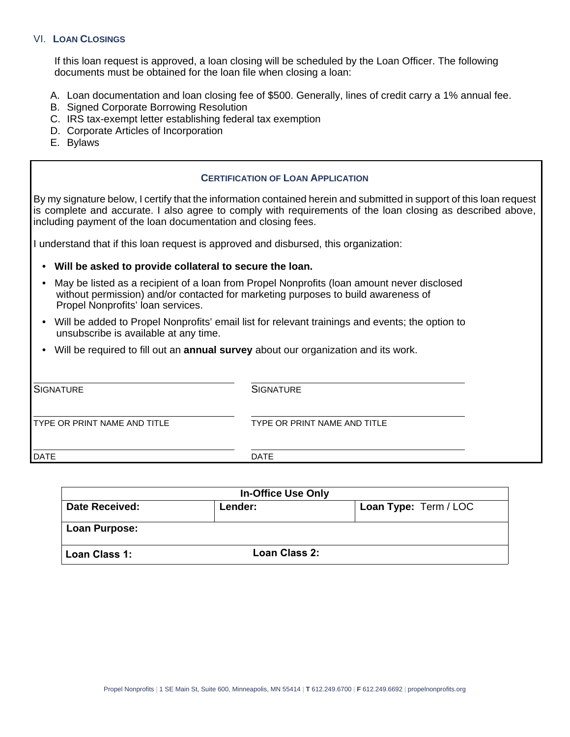#### VI. **LOAN CLOSINGS**

If this loan request is approved, a loan closing will be scheduled by the Loan Officer. The following documents must be obtained for the loan file when closing a loan:

- A. Loan documentation and loan closing fee of \$500. Generally, lines of credit carry a 1% annual fee.
- B. Signed Corporate Borrowing Resolution
- C. IRS tax-exempt letter establishing federal tax exemption
- D. Corporate Articles of Incorporation
- E. Bylaws

#### **CERTIFICATION OF LOAN APPLICATION**

By my signature below, I certify that the information contained herein and submitted in support of this loan request is complete and accurate. I also agree to comply with requirements of the loan closing as described above, including payment of the loan documentation and closing fees.

I understand that if this loan request is approved and disbursed, this organization:

### • **Will be asked to provide collateral to secure the loan.**

- May be listed as a recipient of a loan from Propel Nonprofits (loan amount never disclosed without permission) and/or contacted for marketing purposes to build awareness of Propel Nonprofits' loan services.
- Will be added to Propel Nonprofits' email list for relevant trainings and events; the option to unsubscribe is available at any time.
- Will be required to fill out an **annual survey** about our organization and its work.

| <b>SIGNATURE</b>             | <b>SIGNATURE</b>             |
|------------------------------|------------------------------|
| TYPE OR PRINT NAME AND TITLE | TYPE OR PRINT NAME AND TITLE |
| <b>DATE</b>                  | <b>DATE</b>                  |

| <b>In-Office Use Only</b> |                      |                       |  |
|---------------------------|----------------------|-----------------------|--|
| Date Received:            | Lender:              | Loan Type: Term / LOC |  |
| Loan Purpose:             |                      |                       |  |
| Loan Class 1:             | <b>Loan Class 2:</b> |                       |  |